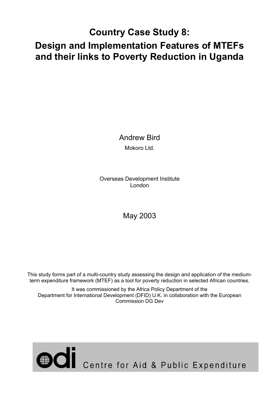# **Country Case Study 8:**

# **Design and Implementation Features of MTEFs and their links to Poverty Reduction in Uganda**

Andrew Bird Mokoro Ltd.

Overseas Development Institute London

# May 2003

This study forms part of a multi-country study assessing the design and application of the mediumterm expenditure framework (MTEF) as a tool for poverty reduction in selected African countries.

It was commissioned by the Africa Policy Department of the Department for International Development (DFID) U.K. in collaboration with the European Commission DG Dev

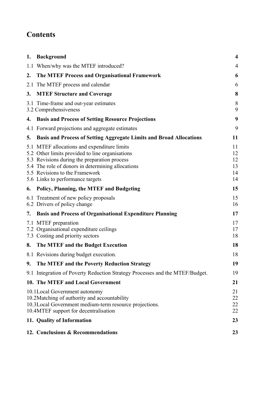# **Contents**

| 1. | <b>Background</b>                                                                                                                                                                                                                                                         | $\overline{\mathbf{4}}$          |
|----|---------------------------------------------------------------------------------------------------------------------------------------------------------------------------------------------------------------------------------------------------------------------------|----------------------------------|
|    | 1.1 When/why was the MTEF introduced?                                                                                                                                                                                                                                     | 4                                |
| 2. | The MTEF Process and Organisational Framework                                                                                                                                                                                                                             | 6                                |
|    | 2.1 The MTEF process and calendar                                                                                                                                                                                                                                         | 6                                |
| 3. | <b>MTEF Structure and Coverage</b>                                                                                                                                                                                                                                        | 8                                |
|    | 3.1 Time-frame and out-year estimates<br>3.2 Comprehensiveness                                                                                                                                                                                                            | 8<br>9                           |
|    | 4. Basis and Process of Setting Resource Projections                                                                                                                                                                                                                      | 9                                |
|    | 4.1 Forward projections and aggregate estimates                                                                                                                                                                                                                           | 9                                |
| 5. | <b>Basis and Process of Setting Aggregate Limits and Broad Allocations</b>                                                                                                                                                                                                | 11                               |
|    | 5.1 MTEF allocations and expenditure limits<br>5.2 Other limits provided to line organisations<br>5.3 Revisions during the preparation process<br>5.4 The role of donors in determining allocations<br>5.5 Revisions to the Framework<br>5.6 Links to performance targets | 11<br>12<br>12<br>13<br>14<br>14 |
| 6. | <b>Policy, Planning, the MTEF and Budgeting</b>                                                                                                                                                                                                                           | 15                               |
|    | 6.1 Treatment of new policy proposals<br>6.2 Drivers of policy change                                                                                                                                                                                                     | 15<br>16                         |
| 7. | <b>Basis and Process of Organisational Expenditure Planning</b>                                                                                                                                                                                                           | 17                               |
|    | 7.1 MTEF preparation<br>7.2 Organisational expenditure ceilings<br>7.3 Costing and priority sectors                                                                                                                                                                       | 17<br>17<br>18                   |
| 8. | The MTEF and the Budget Execution                                                                                                                                                                                                                                         | 18                               |
|    | 8.1 Revisions during budget execution.                                                                                                                                                                                                                                    | 18                               |
|    | 9. The MTEF and the Poverty Reduction Strategy                                                                                                                                                                                                                            | 19                               |
|    | 9.1 Integration of Poverty Reduction Strategy Processes and the MTEF/Budget.                                                                                                                                                                                              | 19                               |
|    | 10. The MTEF and Local Government                                                                                                                                                                                                                                         | 21                               |
|    | 10.1 Local Government autonomy<br>10.2 Matching of authority and accountability<br>10.3 Local Government medium-term resource projections.<br>10.4MTEF support for decentralisation                                                                                       | 21<br>22<br>22<br>22             |
|    | 11. Quality of Information                                                                                                                                                                                                                                                | 23                               |
|    | 12. Conclusions & Recommendations                                                                                                                                                                                                                                         | 23                               |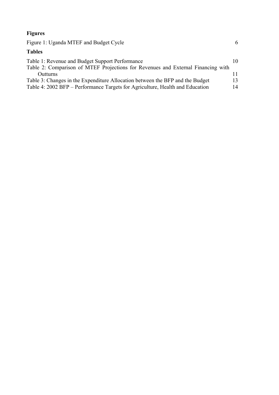#### **Figures**

| Figure 1: Uganda MTEF and Budget Cycle                                                                                              | 6  |
|-------------------------------------------------------------------------------------------------------------------------------------|----|
| <b>Tables</b>                                                                                                                       |    |
| Table 1: Revenue and Budget Support Performance<br>Table 2: Comparison of MTEF Projections for Revenues and External Financing with | 10 |
| <b>Outturns</b>                                                                                                                     |    |
| Table 3: Changes in the Expenditure Allocation between the BFP and the Budget                                                       | 13 |
| Table 4: 2002 BFP – Performance Targets for Agriculture, Health and Education                                                       | 14 |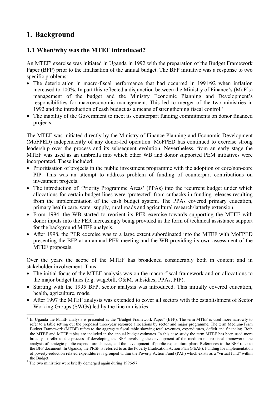# **1. Background**

### **1.1 When/why was the MTEF introduced?**

An MTEF<sup>1</sup> exercise was initiated in Uganda in 1992 with the preparation of the Budget Framework Paper (BFP) prior to the finalisation of the annual budget. The BFP initiative was a response to two specific problems:

- The deterioration in macro-fiscal performance that had occurred in 1991/92 when inflation increased to 100%. In part this reflected a disjunction between the Ministry of Finance's (MoF's) management of the budget and the Ministry Economic Planning and Development's responsibilities for macroeconomic management. This led to merger of the two ministries in 1992 and the introduction of cash budget as a means of strengthening fiscal control.2
- The inability of the Government to meet its counterpart funding commitments on donor financed projects.

The MTEF was initiated directly by the Ministry of Finance Planning and Economic Development (MoFPED) independently of any donor-led operation. MoFPED has continued to exercise strong leadership over the process and its subsequent evolution. Nevertheless, from an early stage the MTEF was used as an umbrella into which other WB and donor supported PEM initiatives were incorporated. These included:

- Prioritisation of projects in the public investment programme with the adoption of core/non-core PIP. This was an attempt to address problem of funding of counterpart contributions on investment projects.
- The introduction of 'Priority Programme Areas' (PPAs) into the recurrent budget under which allocations for certain budget lines were 'protected' from cutbacks in funding releases resulting from the implementation of the cash budget system. The PPAs covered primary education, primary health care, water supply, rural roads and agricultural research/latterly extension.
- From 1994, the WB started to reorient its PER exercise towards supporting the MTEF with donor inputs into the PER increasingly being provided in the form of technical assistance support for the background MTEF analysis.
- After 1998, the PER exercise was to a large extent subordinated into the MTEF with MoFPED presenting the BFP at an annual PER meeting and the WB providing its own assessment of the MTEF proposals.

Over the years the scope of the MTEF has broadened considerably both in content and in stakeholder involvement. Thus

- The initial focus of the MTEF analysis was on the macro-fiscal framework and on allocations to the major budget lines (e.g. wagebill, O&M, subsidies, PPAs, PIP).
- Starting with the 1995 BFP, sector analysis was introduced. This initially covered education, health, agriculture, roads.
- After 1997 the MTEF analysis was extended to cover all sectors with the establishment of Sector Working Groups (SWGs) led by the line ministries.

 $\overline{a}$ 1 In Uganda the MTEF analysis is presented as the "Budget Framework Paper" (BFP). The term MTEF is used more narrowly to refer to a table setting out the proposed three-year resource allocations by sector and major programme. The term Medium-Term Budget Framework (MTBF) refers to the aggregate fiscal table showing total revenues, expenditures, deficit and financing. Both the MTBF and MTEF tables are included in the annual budget estimates. In this case study the term MTEF has been used more broadly to refer to the process of developing the BFP involving the development of the medium-macro-fiscal framework, the analysis of strategic public expenditure choices, and the development of public expenditure plans. References to the BFP refer to the BFP document. In Uganda, the PRSP is referred to as the Poverty Eradication Action Plan (PEAP). Funding for implementation of poverty-reduction related expenditures is grouped within the Poverty Action Fund (PAF) which exists as a "virtual fund" within

the Budget. 2 The two ministries were briefly demerged again during 1996-97.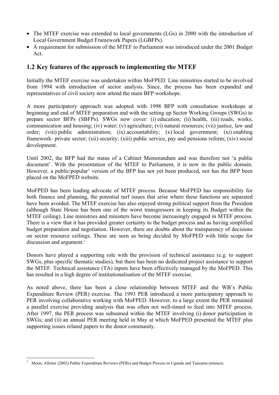- The MTEF exercise was extended to local governments (LGs) in 2000 with the introduction of Local Government Budget Framework Papers (LGBFPs).
- A requirement for submission of the MTEF to Parliament was introduced under the 2001 Budget Act.

#### **1.2 Key features of the approach to implementing the MTEF**

Initially the MTEF exercise was undertaken within MoFPED. Line ministries started to be involved from 1994 with introduction of sector analysis. Since, the process has been expanded and representatives of civil society now attend the main BFP workshops.

A more participatory approach was adopted with 1998 BFP with consultation workshops at beginning and end of MTEF preparation and with the setting up Sector Working Groups (SWGs) to prepare sector BFPs (SBFPs). SWGs now cover: (i) education; (ii) health, (iii) roads, works, communication and housing; (iv) water; (v) agriculture; (vi) natural resources; (vii) justice, law and order; (viii) public administration; (ix) accountability; (x) local government; (xi) enabling framework- private sector; (xii) security; (xiii) public service, pay and pensions reform; (xiv) social development.

Until 2002, the BFP had the status of a Cabinet Memorandum and was therefore not 'a public document'. With the presentation of the MTEF to Parliament, it is now in the public domain. However, a public/popular' version of the BFP has not yet been produced, nor has the BFP been placed on the MoFPED website.

MoFPED has been leading advocate of MTEF process. Because MoFPED has responsibility for both finance and planning, the potential turf issues that arise where these functions are separated have been avoided. The MTEF exercise has also enjoyed strong political support from the President (although State House has been one of the worst transgressors in keeping its Budget within the MTEF ceiling). Line ministries and ministers have become increasingly engaged in MTEF process. There is a view that it has provided greater certainty to the budget process and as having simplified budget preparation and negotiation. However, there are doubts about the transparency of decisions on sector resource ceilings. These are seen as being decided by MoFPED with little scope for discussion and argument.<sup>3</sup>

Donors have played a supporting role with the provision of technical assistance (e.g. to support SWGs, plus specific thematic studies), but there has been no dedicated project assistance to support the MTEF. Technical assistance (TA) inputs have been effectively managed by the MoFPED. This has resulted in a high degree of institutionalisation of the MTEF exercise.

As noted above, there has been a close relationship between MTEF and the WB's Public Expenditure Review (PER) exercise. The 1993 PER introduced a more participatory approach to PER involving collaborative working with MoFPED. However, to a large extent the PER remained a parallel exercise providing analysis that was often not well-timed to feed into MTEF process. After 1997, the PER process was subsumed within the MTEF involving (i) donor participation in SWGs; and (ii) an annual PER meeting held in May at which MoFPED presented the MTEF plus supporting issues related papers to the donor community.

 $\overline{a}$ 3 Moon, Allister (2002) Public Expenditure Reviews (PERs) and Budget Process in Uganda and Tanzania (mimeo).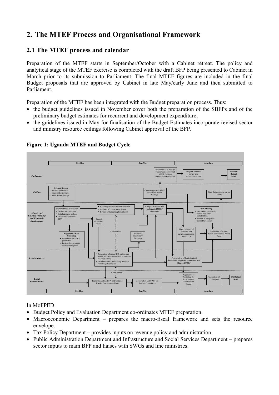# **2. The MTEF Process and Organisational Framework**

## **2.1 The MTEF process and calendar**

Preparation of the MTEF starts in September/October with a Cabinet retreat. The policy and analytical stage of the MTEF exercise is completed with the draft BFP being presented to Cabinet in March prior to its submission to Parliament. The final MTEF figures are included in the final Budget proposals that are approved by Cabinet in late May/early June and then submitted to Parliament.

Preparation of the MTEF has been integrated with the Budget preparation process. Thus:

- the budget guidelines issued in November cover both the preparation of the SBFPs and of the preliminary budget estimates for recurrent and development expenditure;
- the guidelines issued in May for finalisation of the Budget Estimates incorporate revised sector and ministry resource ceilings following Cabinet approval of the BFP.



#### **Figure 1: Uganda MTEF and Budget Cycle**

In MoFPED:

- Budget Policy and Evaluation Department co-ordinates MTEF preparation.
- Macroeconomic Department prepares the macro-fiscal framework and sets the resource envelope.
- Tax Policy Department provides inputs on revenue policy and administration.
- Public Administration Department and Infrastructure and Social Services Department prepares sector inputs to main BFP and liaises with SWGs and line ministries.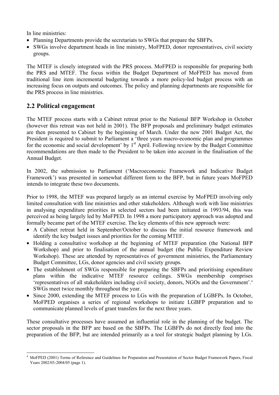In line ministries:

- Planning Departments provide the secretariats to SWGs that prepare the SBFPs.
- SWGs involve department heads in line ministry, MoFPED, donor representatives, civil society groups.

The MTEF is closely integrated with the PRS process. MoFPED is responsible for preparing both the PRS and MTEF. The focus within the Budget Department of MoFPED has moved from traditional line item incremental budgeting towards a more policy-led budget process with an increasing focus on outputs and outcomes. The policy and planning departments are responsible for the PRS process in line ministries.

#### **2.2 Political engagement**

The MTEF process starts with a Cabinet retreat prior to the National BFP Workshop in October (however this retreat was not held in 2001). The BFP proposals and preliminary budget estimates are then presented to Cabinet by the beginning of March. Under the new 2001 Budget Act, the President is required to submit to Parliament a 'three years macro-economic plan and programmes for the economic and social development' by  $1<sup>st</sup>$  April. Following review by the Budget Committee recommendations are then made to the President to be taken into account in the finalisation of the Annual Budget.

In 2002, the submission to Parliament ('Macroeconomic Framework and Indicative Budget Framework') was presented in somewhat different form to the BFP, but in future years MoFPED intends to integrate these two documents.

Prior to 1998, the MTEF was prepared largely as an internal exercise by MoFPED involving only limited consultation with line ministries and other stakeholders. Although work with line ministries in analysing expenditure priorities in selected sectors had been initiated in 1993/94, this was perceived as being largely led by MoFPED. In 1998 a more participatory approach was adopted and formally became part of the MTEF exercise. The key elements of this new approach were:

- A Cabinet retreat held in September/October to discuss the initial resource framework and identify the key budget issues and priorities for the coming MTEF.
- Holding a consultative workshop at the beginning of MTEF preparation (the National BFP Workshop) and prior to finalisation of the annual budget (the Public Expenditure Review Workshop). These are attended by representatives of government ministries, the Parliamentary Budget Committee, LGs, donor agencies and civil society groups.
- The establishment of SWGs responsible for preparing the SBFPs and prioritising expenditure plans within the indicative MTEF resource ceilings. SWGs membership comprises 'representatives of all stakeholders including civil society, donors, NGOs and the Government'.4 SWGs meet twice monthly throughout the year.
- Since 2000, extending the MTEF process to LGs with the preparation of LGBFPs. In October, MoFPED organises a series of regional workshops to initiate LGBFP preparation and to communicate planned levels of grant transfers for the next three years.

These consultative processes have assumed an influential role in the planning of the budget. The sector proposals in the BFP are based on the SBFPs. The LGBFPs do not directly feed into the preparation of the BFP, but are intended primarily as a tool for strategic budget planning by LGs.

 $\overline{a}$ 4 MoFPED (2001) Terms of Reference and Guidelines for Preparation and Presentation of Sector Budget Framework Papers, Fiscal Years 2002/03-2004/05 (page 1).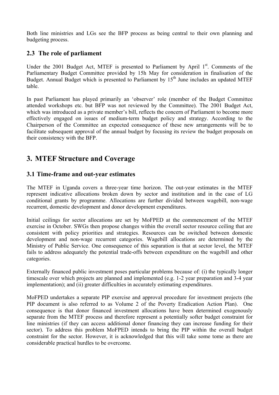Both line ministries and LGs see the BFP process as being central to their own planning and budgeting process.

#### **2.3 The role of parliament**

Under the 2001 Budget Act, MTEF is presented to Parliament by April  $1<sup>st</sup>$ . Comments of the Parliamentary Budget Committee provided by 15h May for consideration in finalisation of the Budget. Annual Budget which is presented to Parliament by 15<sup>th</sup> June includes an updated MTEF table.

In past Parliament has played primarily an 'observer' role (member of the Budget Committee attended workshops etc. but BFP was not reviewed by the Committee). The 2001 Budget Act, which was introduced as a private member's bill, reflects the concern of Parliament to become more effectively engaged on issues of medium-term budget policy and strategy. According to the Chairperson of the Committee an expected consequence of these new arrangements will be to facilitate subsequent approval of the annual budget by focusing its review the budget proposals on their consistency with the BFP.

# **3. MTEF Structure and Coverage**

#### **3.1 Time-frame and out-year estimates**

The MTEF in Uganda covers a three-year time horizon. The out-year estimates in the MTEF represent indicative allocations broken down by sector and institution and in the case of LG conditional grants by programme. Allocations are further divided between wagebill, non-wage recurrent, domestic development and donor development expenditures.

Initial ceilings for sector allocations are set by MoFPED at the commencement of the MTEF exercise in October. SWGs then propose changes within the overall sector resource ceiling that are consistent with policy priorities and strategies. Resources can be switched between domestic development and non-wage recurrent categories. Wagebill allocations are determined by the Ministry of Public Service. One consequence of this separation is that at sector level, the MTEF fails to address adequately the potential trade-offs between expenditure on the wagebill and other categories.

Externally financed public investment poses particular problems because of: (i) the typically longer timescale over which projects are planned and implemented (e.g. 1-2 year preparation and 3-4 year implementation); and (ii) greater difficulties in accurately estimating expenditures.

MoFPED undertakes a separate PIP exercise and approval procedure for investment projects (the PIP document is also referred to as Volume 2 of the Poverty Eradication Action Plan). One consequence is that donor financed investment allocations have been determined exogenously separate from the MTEF process and therefore represent a potentially softer budget constraint for line ministries (if they can access additional donor financing they can increase funding for their sector). To address this problem MoFPED intends to bring the PIP within the overall budget constraint for the sector. However, it is acknowledged that this will take some tome as there are considerable practical hurdles to be overcome.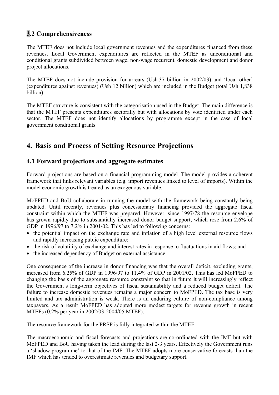# **3.2 Comprehensiveness**

The MTEF does not include local government revenues and the expenditures financed from these revenues. Local Government expenditures are reflected in the MTEF as unconditional and conditional grants subdivided between wage, non-wage recurrent, domestic development and donor project allocations.

The MTEF does not include provision for arrears (Ush 37 billion in 2002/03) and 'local other' (expenditures against revenues) (Ush 12 billion) which are included in the Budget (total Ush 1,838 billion).

The MTEF structure is consistent with the categorisation used in the Budget. The main difference is that the MTEF presents expenditures sectorally but with allocations by vote identified under each sector. The MTEF does not identify allocations by programme except in the case of local government conditional grants.

# **4. Basis and Process of Setting Resource Projections**

### **4.1 Forward projections and aggregate estimates**

Forward projections are based on a financial programming model. The model provides a coherent framework that links relevant variables (e.g. import revenues linked to level of imports). Within the model economic growth is treated as an exogenous variable.

MoFPED and BoU collaborate in running the model with the framework being constantly being updated. Until recently, revenues plus concessionary financing provided the aggregate fiscal constraint within which the MTEF was prepared. However, since 1997/78 the resource envelope has grown rapidly due to substantially increased donor budget support, which rose from 2.6% of GDP in 1996/97 to 7.2% in 2001/02. This has led to following concerns:

- the potential impact on the exchange rate and inflation of a high level external resource flows and rapidly increasing public expenditure;
- the risk of volatility of exchange and interest rates in response to fluctuations in aid flows; and
- the increased dependency of Budget on external assistance.

One consequence of the increase in donor financing was that the overall deficit, excluding grants, increased from 6.25% of GDP in 1996/97 to 11.4% of GDP in 2001/02. This has led MoFPED to changing the basis of the aggregate resource constraint so that in future it will increasingly reflect the Government's long-term objectives of fiscal sustainability and a reduced budget deficit. The failure to increase domestic revenues remains a major concern to MoFPED. The tax base is very limited and tax administration is weak. There is an enduring culture of non-compliance among taxpayers. As a result MoFPED has adopted more modest targets for revenue growth in recent MTEFs (0.2% per year in 2002/03-2004/05 MTEF).

The resource framework for the PRSP is fully integrated within the MTEF.

The macroeconomic and fiscal forecasts and projections are co-ordinated with the IMF but with MoFPED and BoU having taken the lead during the last 2-3 years. Effectively the Government runs a 'shadow programme' to that of the IMF. The MTEF adopts more conservative forecasts than the IMF which has tended to overestimate revenues and budgetary support.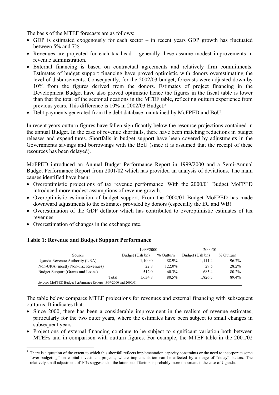The basis of the MTEF forecasts are as follows:

- GDP is estimated exogenously for each sector in recent years GDP growth has fluctuated between 5% and 7%.
- Revenues are projected for each tax head generally these assume modest improvements in revenue administration.
- External financing is based on contractual agreements and relatively firm commitments. Estimates of budget support financing have proved optimistic with donors overestimating the level of disbursements. Consequently, for the 2002/03 budget, forecasts were adjusted down by 10% from the figures derived from the donors. Estimates of project financing in the Development Budget have also proved optimistic hence the figures in the fiscal table is lower than that the total of the sector allocations in the MTEF table, reflecting outturn experience from previous years. This difference is 10% in 2002/03 Budget.<sup>5</sup>
- Debt payments generated from the debt database maintained by MoFPED and BoU.

In recent years outturn figures have fallen significantly below the resource projections contained in the annual Budget. In the case of revenue shortfalls, there have been matching reductions in budget releases and expenditures. Shortfalls in budget support have been covered by adjustments in the Governments savings and borrowings with the BoU (since it is assumed that the receipt of these resources has been delayed).

MoFPED introduced an Annual Budget Performance Report in 1999/2000 and a Semi-Annual Budget Performance Report from 2001/02 which has provided an analysis of deviations. The main causes identified have been:

- Overoptimistic projections of tax revenue performance. With the 2000/01 Budget MoFPED introduced more modest assumptions of revenue growth.
- Overoptimistic estimation of budget support. From the 2000/01 Budget MoFPED has made downward adjustments to the estimates provided by donors (especially the EC and WB)
- Overestimation of the GDP deflator which has contributed to overoptimistic estimates of tax revenues.
- Overestimation of changes in the exchange rate.

|                                                                 | 1999/2000       |           | 2000/01         |           |  |
|-----------------------------------------------------------------|-----------------|-----------|-----------------|-----------|--|
| Source                                                          | Budget (Ush bn) | % Outturn | Budget (Ush bn) | % Outturn |  |
| Uganda Revenue Authority (URA)                                  | 1,100.0         | 88.9%     | 1,111.4         | 96.7%     |  |
| Non-URA (mostly Non-Tax Revenues)                               | 22.8            | 122.0%    | 29.5            | 28.2%     |  |
| Budget Support (Grants and Loans)                               | 512.0           | $60.3\%$  | 685.4           | $80.2\%$  |  |
| Total                                                           | 1.634.8         | $80.5\%$  | 1.826.3         | 89.4%     |  |
| Source: MoFPED Budget Performance Reports 1999/2000 and 2000/01 |                 |           |                 |           |  |

#### **Table 1: Revenue and Budget Support Performance**

The table below compares MTEF projections for revenues and external financing with subsequent outturns. It indicates that:

- Since 2000, there has been a considerable improvement in the realism of revenue estimates, particularly for the two outer years, where the estimates have been subject to small changes in subsequent years.
- Projections of external financing continue to be subject to significant variation both between MTEFs and in comparison with outturn figures. For example, the MTEF table in the 2001/02

 $\overline{a}$ 5 There is a question of the extent to which this shortfall reflects implementation capacity constraints or the need to incorporate some "over-budgeting" on capital investment projects, where implementation can be affected by a range of "delay" factors. The relatively small adjustment of 10% suggests that the latter set of factors is probably more important is the case of Uganda.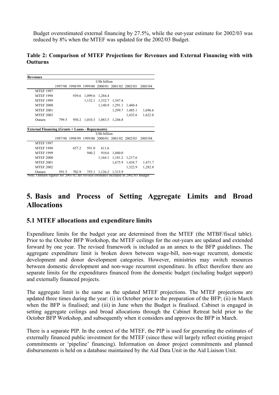Budget overestimated external financing by 27.5%, while the out-year estimate for 2002/03 was reduced by 8% when the MTEF was updated for the 2002/03 Budget.

#### **Table 2: Comparison of MTEF Projections for Revenues and External Financing with with Outturns**

|                    |       | <b>USh billion</b>      |                         |                                                                                       |                                                |                                                                                                                                                                              |  |  |
|--------------------|-------|-------------------------|-------------------------|---------------------------------------------------------------------------------------|------------------------------------------------|------------------------------------------------------------------------------------------------------------------------------------------------------------------------------|--|--|
|                    |       | 1997/98 1998/99 1999/00 | 2000/01                 | 2001/02 2002/03                                                                       |                                                | 2003/04                                                                                                                                                                      |  |  |
|                    |       |                         |                         |                                                                                       |                                                |                                                                                                                                                                              |  |  |
|                    | 939.6 |                         |                         |                                                                                       |                                                |                                                                                                                                                                              |  |  |
|                    |       | 1,132.1                 |                         | 1,547.4                                                                               |                                                |                                                                                                                                                                              |  |  |
|                    |       |                         |                         |                                                                                       | 1,460.4                                        |                                                                                                                                                                              |  |  |
|                    |       |                         |                         |                                                                                       | 1,485.1                                        | 1,696.6                                                                                                                                                                      |  |  |
|                    |       |                         |                         |                                                                                       | 1,432.6                                        | 1,622.8                                                                                                                                                                      |  |  |
| 799.5              | 950.2 |                         |                         |                                                                                       |                                                |                                                                                                                                                                              |  |  |
|                    |       |                         |                         |                                                                                       |                                                |                                                                                                                                                                              |  |  |
|                    |       |                         |                         |                                                                                       |                                                |                                                                                                                                                                              |  |  |
| <b>USh billion</b> |       |                         |                         |                                                                                       |                                                |                                                                                                                                                                              |  |  |
|                    |       |                         |                         |                                                                                       |                                                | 2003/04                                                                                                                                                                      |  |  |
|                    |       |                         |                         |                                                                                       |                                                |                                                                                                                                                                              |  |  |
|                    | 657.2 | 591.0                   | 611.6                   |                                                                                       |                                                |                                                                                                                                                                              |  |  |
|                    |       | 940.2                   |                         | 1,040.0                                                                               |                                                |                                                                                                                                                                              |  |  |
|                    |       |                         | 1,164.1                 |                                                                                       |                                                |                                                                                                                                                                              |  |  |
|                    |       |                         |                         |                                                                                       |                                                | 1,471.7                                                                                                                                                                      |  |  |
|                    |       |                         |                         |                                                                                       | 1,322.9                                        | 1,282.8                                                                                                                                                                      |  |  |
| 591.5              | 702.9 | 755.1                   | 1.126.2                 | 1,313.9                                                                               |                                                |                                                                                                                                                                              |  |  |
|                    |       |                         | 1997/98 1998/99 1999/00 | 1,099.6 1,284.4<br>1,010.3<br><b>External Financing (Grants + Loans - Repayments)</b> | 1,332.7<br>1,140.9<br>1,083.5 1,246.8<br>910.6 | 1,291.1<br>1,299.7<br>2000/01 2001/02 2002/03<br>1,181.2 1,217.6<br>1,675.9<br>1,434.7<br>Note: Outturn figures for 2001/02 are revised estimates included in 2002/03 Budget |  |  |

## **5. Basis and Process of Setting Aggregate Limits and Broad Allocations**

#### **5.1 MTEF allocations and expenditure limits**

Expenditure limits for the budget year are determined from the MTEF (the MTBF/fiscal table). Prior to the October BFP Workshop, the MTEF ceilings for the out-years are updated and extended forward by one year. The revised framework is included as an annex to the BFP guidelines. The aggregate expenditure limit is broken down between wage-bill, non-wage recurrent, domestic development and donor development categories. However, ministries may switch resources between domestic development and non-wage recurrent expenditure. In effect therefore there are separate limits for the expenditures financed from the domestic budget (including budget support) and externally financed projects.

The aggregate limit is the same as the updated MTEF projections. The MTEF projections are updated three times during the year: (i) in October prior to the preparation of the BFP; (ii) in March when the BFP is finalised; and (iii) in June when the Budget is finalised. Cabinet is engaged in setting aggregate ceilings and broad allocations through the Cabinet Retreat held prior to the October BFP Workshop, and subsequently when it considers and approves the BFP in March.

There is a separate PIP. In the context of the MTEF, the PIP is used for generating the estimates of externally financed public investment for the MTEF (since these will largely reflect existing project commitments or 'pipeline' financing). Information on donor project commitments and planned disbursements is held on a database maintained by the Aid Data Unit in the Aid Liaison Unit.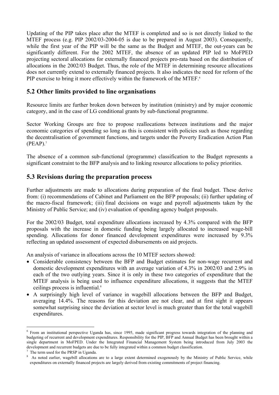Updating of the PIP takes place after the MTEF is completed and so is not directly linked to the MTEF process (e.g. PIP 2002/03-2004-05 is due to be prepared in August 2003). Consequently, while the first year of the PIP will be the same as the Budget and MTEF, the out-years can be significantly different. For the 2002 MTEF, the absence of an updated PIP led to MoFPED projecting sectoral allocations for externally financed projects pro-rata based on the distribution of allocations in the 2002/03 Budget. Thus, the role of the MTEF in determining resource allocations does not currently extend to externally financed projects. It also indicates the need for reform of the PIP exercise to bring it more effectively within the framework of the MTEF.<sup>6</sup>

#### **5.2 Other limits provided to line organisations**

Resource limits are further broken down between by institution (ministry) and by major economic category, and in the case of LG conditional grants by sub-functional programme.

Sector Working Groups are free to propose reallocations between institutions and the major economic categories of spending so long as this is consistent with policies such as those regarding the decentralisation of government functions, and targets under the Poverty Eradication Action Plan  $(PEAP).7$ 

The absence of a common sub-functional (programme) classification to the Budget represents a significant constraint to the BFP analysis and to linking resource allocations to policy priorities.

#### **5.3 Revisions during the preparation process**

Further adjustments are made to allocations during preparation of the final budget. These derive from: (i) recommendations of Cabinet and Parliament on the BFP proposals; (ii) further updating of the macro-fiscal framework; (iii) final decisions on wage and payroll adjustments taken by the Ministry of Public Service; and (iv) evaluation of spending agency budget proposals.

For the 2002/03 Budget, total expenditure allocations increased by 4.3% compared with the BFP proposals with the increase in domestic funding being largely allocated to increased wage-bill spending. Allocations for donor financed development expenditures were increased by 9.3% reflecting an updated assessment of expected disbursements on aid projects.

An analysis of variance in allocations across the 10 MTEF sectors showed:

- Considerable consistency between the BFP and Budget estimates for non-wage recurrent and domestic development expenditures with an average variation of 4.3% in 2002/03 and 2.9% in each of the two outlying years. Since it is only in these two categories of expenditure that the MTEF analysis is being used to influence expenditure allocations, it suggests that the MTEF ceilings process is influential.8
- A surprisingly high level of variance in wagebill allocations between the BFP and Budget, averaging 14.4%. The reasons for this deviation are not clear, and at first sight it appears somewhat surprising since the deviation at sector level is much greater than for the total wagebill expenditures.

 $\overline{a}$ 

<sup>&</sup>lt;sup>6</sup> From an institutional perspective Uganda has, since 1995, made significant progress towards integration of the planning and budgeting of recurrent and development expenditures. Responsibility for the PIP, BFP and Annual Budget has been brought within a single department in MoFPED. Under the Integrated Financial Management System being introduced from July 2003 the development and recurrent budgets are due to be fully integrated within a common budget classification. 7

 $\frac{7}{1}$  The term used for the PRSP in Uganda.

<sup>&</sup>lt;sup>8</sup> As noted earlier, wagebill allocations are to a large extent determined exogenously by the Ministry of Public Service, while expenditures on externally financed projects are largely derived from existing commitments of project financing.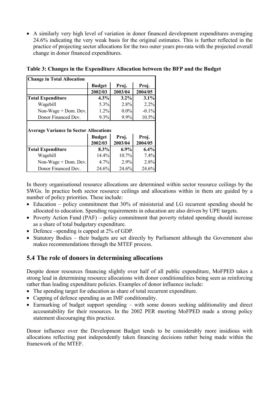• A similarly very high level of variation in donor financed development expenditures averaging 24.6% indicating the very weak basis for the original estimates. This is further reflected in the practice of projecting sector allocations for the two outer years pro-rata with the projected overall change in donor financed expenditures.

| <b>Change in Total Allocation</b>                                                |               |         |          |  |  |  |
|----------------------------------------------------------------------------------|---------------|---------|----------|--|--|--|
|                                                                                  | <b>Budget</b> | Proj.   | Proj.    |  |  |  |
|                                                                                  | 2002/03       | 2003/04 | 2004/05  |  |  |  |
| <b>Total Expenditure</b>                                                         | 4.3%          | 3.2%    | 3.1%     |  |  |  |
| Wagebill                                                                         | 5.3%          | 2.8%    | 2.2%     |  |  |  |
| Non-Wage + Dom. Dev.                                                             | 1.2%          | $0.0\%$ | $-0.1\%$ |  |  |  |
| Donor Financed Dev.                                                              | 9.3%          | 9.9%    | 10.5%    |  |  |  |
| <b>Average Variance In Sector Allocations</b><br><b>Budget</b><br>Proj.<br>Proj. |               |         |          |  |  |  |
|                                                                                  | 2002/03       | 2003/04 |          |  |  |  |
|                                                                                  |               |         | 2004/05  |  |  |  |
| <b>Total Expenditure</b>                                                         | 8.3%          | $6.9\%$ | 6.4%     |  |  |  |
| Wagebill                                                                         | 14.4%         | 10.7%   | 7.4%     |  |  |  |
| Non-Wage + Dom. Dev.                                                             | 4.7%          | 2.9%    | 2.8%     |  |  |  |

**Table 3: Changes in the Expenditure Allocation between the BFP and the Budget** 

In theory organisational resource allocations are determined within sector resource ceilings by the SWGs. In practice both sector resource ceilings and allocations within in them are guided by a number of policy priorities. These include:

- Education policy commitment that 30% of ministerial and LG recurrent spending should be allocated to education. Spending requirements in education are also driven by UPE targets.
- Poverty Action Fund (PAF) policy commitment that poverty related spending should increase as a share of total budgetary expenditure.
- Defence –spending is capped at 2% of GDP.
- Statutory Bodies their budgets are set directly by Parliament although the Government also makes recommendations through the MTEF process.

#### **5.4 The role of donors in determining allocations**

Despite donor resources financing slightly over half of all public expenditure, MoFPED takes a strong lead in determining resource allocations with donor conditionalities being seen as reinforcing rather than leading expenditure policies. Examples of donor influence include:

- The spending target for education as share of total recurrent expenditure.
- Capping of defence spending as an IMF conditionality.
- Earmarking of budget support spending with some donors seeking additionality and direct accountability for their resources. In the 2002 PER meeting MoFPED made a strong policy statement discouraging this practice.

Donor influence over the Development Budget tends to be considerably more insidious with allocations reflecting past independently taken financing decisions rather being made within the framework of the MTEF.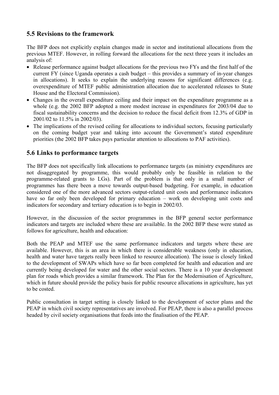### **5.5 Revisions to the framework**

The BFP does not explicitly explain changes made in sector and institutional allocations from the previous MTEF. However, in rolling forward the allocations for the next three years it includes an analysis of:

- Release performance against budget allocations for the previous two FYs and the first half of the current FY (since Uganda operates a cash budget – this provides a summary of in-year changes in allocations). It seeks to explain the underlying reasons for significant differences (e.g. overexpenditure of MTEF public administration allocation due to accelerated releases to State House and the Electoral Commission).
- Changes in the overall expenditure ceiling and their impact on the expenditure programme as a whole (e.g. the 2002 BFP adopted a more modest increase in expenditures for 2003/04 due to fiscal sustainability concerns and the decision to reduce the fiscal deficit from 12.3% of GDP in 2001/02 to 11.5% in 2002/03).
- The implications of the revised ceiling for allocations to individual sectors, focusing particularly on the coming budget year and taking into account the Government's stated expenditure priorities (the 2002 BFP takes pays particular attention to allocations to PAF activities).

### **5.6 Links to performance targets**

The BFP does not specifically link allocations to performance targets (as ministry expenditures are not disaggregated by programme, this would probably only be feasible in relation to the programme-related grants to LGs). Part of the problem is that only in a small number of programmes has there been a move towards output-based budgeting. For example, in education considered one of the more advanced sectors output-related unit costs and performance indicators have so far only been developed for primary education – work on developing unit costs and indicators for secondary and tertiary education is to begin in 2002/03.

However, in the discussion of the sector programmes in the BFP general sector performance indicators and targets are included where these are available. In the 2002 BFP these were stated as follows for agriculture, health and education:

Both the PEAP and MTEF use the same performance indicators and targets where these are available. However, this is an area in which there is considerable weakness (only in education, health and water have targets really been linked to resource allocation). The issue is closely linked to the development of SWAPs which have so far been completed for health and education and are currently being developed for water and the other social sectors. There is a 10 year development plan for roads which provides a similar framework. The Plan for the Modernisation of Agriculture, which in future should provide the policy basis for public resource allocations in agriculture, has yet to be costed.

Public consultation in target setting is closely linked to the development of sector plans and the PEAP in which civil society representatives are involved. For PEAP, there is also a parallel process headed by civil society organisations that feeds into the finalisation of the PEAP.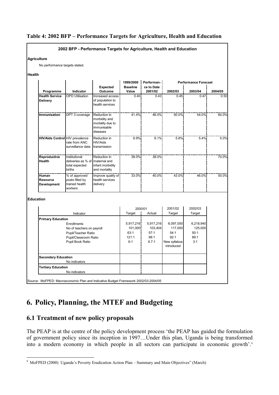#### **Table 4: 2002 BFP – Performance Targets for Agriculture, Health and Education**



# **6. Policy, Planning, the MTEF and Budgeting**

#### **6.1 Treatment of new policy proposals**

The PEAP is at the centre of the policy development process 'the PEAP has guided the formulation of government policy since its inception in 1997…Under this plan, Uganda is being transformed into a modern economy in which people in all sectors can participate in economic growth'.<sup>9</sup>

 $\overline{a}$ 9 MoFPED (2000) Uganda's Poverty Eradication Action Plan – Summary and Main Objectives" (March)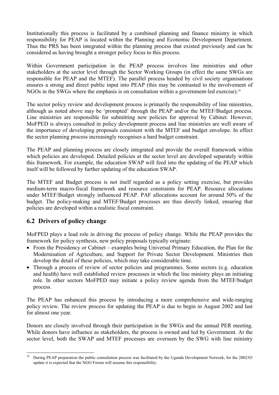Institutionally this process is facilitated by a combined planning and finance ministry in which responsibility for PEAP is located within the Planning and Economic Development Department. Thus the PRS has been integrated within the planning process that existed previously and can be considered as having brought a stronger policy focus to this process.

Within Government participation in the PEAP process involves line ministries and other stakeholders at the sector level through the Sector Working Groups (in effect the same SWGs are responsible for PEAP and the MTEF). The parallel process headed by civil society organisations ensures a strong and direct public input into PEAP (this may be contrasted to the involvement of NGOs in the SWGs where the emphasis is on consultation within a government-led exercise).<sup>10</sup>

The sector policy review and development process is primarily the responsibility of line ministries, although as noted above may be 'prompted' through the PEAP and/or the MTEF/Budget process. Line ministries are responsible for submitting new policies for approval by Cabinet. However, MoFPED is always consulted in policy development process and line ministries are well aware of the importance of developing proposals consistent with the MTEF and budget envelope. In effect the sector planning process increasingly recognises a hard budget constraint.

The PEAP and planning process are closely integrated and provide the overall framework within which policies are developed. Detailed policies at the sector level are developed separately within this framework. For example, the education SWAP will feed into the updating of the PEAP which itself will be followed by further updating of the education SWAP.

The MTEF and Budget process is not itself regarded as a policy setting exercise, but provides medium-term macro-fiscal framework and resource constraints for PEAP. Resource allocations under MTEF/Budget strongly influenced PEAP. PAF allocations account for around 50% of the budget. The policy-making and MTEF/Budget processes are thus directly linked, ensuring that policies are developed within a realistic fiscal constraint.

## **6.2 Drivers of policy change**

MoFPED plays a lead role in driving the process of policy change. While the PEAP provides the framework for policy synthesis, new policy proposals typically originate:

- From the Presidency or Cabinet examples being Universal Primary Education, the Plan for the Modernisation of Agriculture, and Support for Private Sector Development. Ministries then develop the detail of these policies, which may take considerable time.
- Through a process of review of sector policies and programmes. Some sectors (e.g. education and health) have well established review processes in which the line ministry plays an initiating role. In other sectors MoFPED may initiate a policy review agenda from the MTEF/budget process.

The PEAP has enhanced this process by introducing a more comprehensive and wide-ranging policy review. The review process for updating the PEAP is due to begin in August 2002 and last for almost one year.

Donors are closely involved through their participation in the SWGs and the annual PER meeting. While donors have influence as stakeholders, the process is owned and led by Government. At the sector level, both the SWAP and MTEF processes are overseen by the SWG with line ministry

 $10\,$ 10 During PEAP preparation the public consultation process was facilitated by the Uganda Development Network, for the 2002/03 update it is expected that the NGO Forum will assume this responsibility.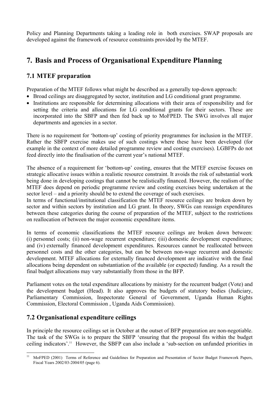Policy and Planning Departments taking a leading role in both exercises. SWAP proposals are developed against the framework of resource constraints provided by the MTEF.

# **7. Basis and Process of Organisational Expenditure Planning**

### **7.1 MTEF preparation**

Preparation of the MTEF follows what might be described as a generally top-down approach:

- Broad ceilings are disaggregated by sector, institution and LG conditional grant programme.
- Institutions are responsible for determining allocations with their area of responsibility and for setting the criteria and allocations for LG conditional grants for their sectors. These are incorporated into the SBFP and then fed back up to MoFPED. The SWG involves all major departments and agencies in a sector.

There is no requirement for 'bottom-up' costing of priority programmes for inclusion in the MTEF. Rather the SBFP exercise makes use of such costings where these have been developed (for example in the context of more detailed programme review and costing exercises). LGBFPs do not feed directly into the finalisation of the current year's national MTEF.

The absence of a requirement for 'bottom-up' costing, ensures that the MTEF exercise focuses on strategic allocative issues within a realistic resource constraint. It avoids the risk of substantial work being done in developing costings that cannot be realistically financed. However, the realism of the MTEF does depend on periodic programme review and costing exercises being undertaken at the sector level – and a priority should be to extend the coverage of such exercises.

In terms of functional/institutional classification the MTEF resource ceilings are broken down by sector and within sectors by institution and LG grant. In theory, SWGs can reassign expenditures between these categories during the course of preparation of the MTEF, subject to the restrictions on reallocation of between the major economic expenditure items.

In terms of economic classifications the MTEF resource ceilings are broken down between: (i) personnel costs; (ii) non-wage recurrent expenditure; (iii) domestic development expenditures; and (iv) externally financed development expenditures. Resources cannot be reallocated between personnel costs and the other categories, but can be between non-wage recurrent and domestic development. MTEF allocations for externally financed development are indicative with the final allocations being dependent on substantiation of the available (or expected) funding. As a result the final budget allocations may vary substantially from those in the BFP.

Parliament votes on the total expenditure allocations by ministry for the recurrent budget (Vote) and the development budget (Head). It also approves the budgets of statutory bodies (Judiciary, Parliamentary Commission, Inspectorate General of Government, Uganda Human Rights Commission, Electoral Commission , Uganda Aids Commission).

#### **7.2 Organisational expenditure ceilings**

In principle the resource ceilings set in October at the outset of BFP preparation are non-negotiable. The task of the SWGs is to prepare the SBFP 'ensuring that the proposal fits within the budget ceiling indicators'.11 However, the SBFP can also include a 'sub-section on unfunded priorities in

 $11$ 11 MoFPED (2001) Terms of Reference and Guidelines for Preparation and Presentation of Sector Budget Framework Papers, Fiscal Years 2002/03-2004/05 (page 6).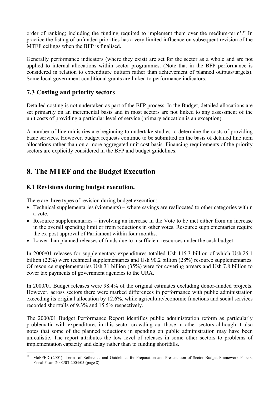order of ranking; including the funding required to implement them over the medium-term'.12 In practice the listing of unfunded priorities has a very limited influence on subsequent revision of the MTEF ceilings when the BFP is finalised.

Generally performance indicators (where they exist) are set for the sector as a whole and are not applied to internal allocations within sector programmes. (Note that in the BFP performance is considered in relation to expenditure outturn rather than achievement of planned outputs/targets). Some local government conditional grants are linked to performance indicators.

#### **7.3 Costing and priority sectors**

Detailed costing is not undertaken as part of the BFP process. In the Budget, detailed allocations are set primarily on an incremental basis and in most sectors are not linked to any assessment of the unit costs of providing a particular level of service (primary education is an exception).

A number of line ministries are beginning to undertake studies to determine the costs of providing basic services. However, budget requests continue to be submitted on the basis of detailed line item allocations rather than on a more aggregated unit cost basis. Financing requirements of the priority sectors are explicitly considered in the BFP and budget guidelines.

# **8. The MTEF and the Budget Execution**

#### **8.1 Revisions during budget execution.**

There are three types of revision during budget execution:

- Technical supplementaries (virements) where savings are reallocated to other categories within a vote.
- Resource supplementaries involving an increase in the Vote to be met either from an increase in the overall spending limit or from reductions in other votes. Resource supplementaries require the ex-post approval of Parliament within four months.
- Lower than planned releases of funds due to insufficient resources under the cash budget.

In 2000/01 releases for supplementary expenditures totalled Ush 115.3 billion of which Ush 25.1 billion (22%) were technical supplementaries and Ush 90.2 billion (28%) resource supplementaries. Of resource supplementaries Ush 31 billion (35%) were for covering arrears and Ush 7.8 billion to cover tax payments of government agencies to the URA.

In 2000/01 Budget releases were 98.4% of the original estimates excluding donor-funded projects. However, across sectors there were marked differences in performance with public administration exceeding its original allocation by 12.6%, while agriculture/economic functions and social services recorded shortfalls of 9.3% and 15.5% respectively.

The 2000/01 Budget Performance Report identifies public administration reform as particularly problematic with expenditures in this sector crowding out those in other sectors although it also notes that some of the planned reductions in spending on public administration may have been unrealistic. The report attributes the low level of releases in some other sectors to problems of implementation capacity and delay rather than to funding shortfalls.

 $12$ 12 MoFPED (2001) Terms of Reference and Guidelines for Preparation and Presentation of Sector Budget Framework Papers, Fiscal Years 2002/03-2004/05 (page 8).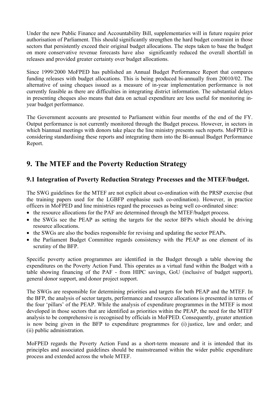Under the new Public Finance and Accountability Bill, supplementaries will in future require prior authorisation of Parliament. This should significantly strengthen the hard budget constraint in those sectors that persistently exceed their original budget allocations. The steps taken to base the budget on more conservative revenue forecasts have also significantly reduced the overall shortfall in releases and provided greater certainty over budget allocations.

Since 1999/2000 MoFPED has published an Annual Budget Performance Report that compares funding releases with budget allocations. This is being produced bi-annually from 20010/02. The alternative of using cheques issued as a measure of in-year implementation performance is not currently feasible as there are difficulties in integrating district information. The substantial delays in presenting cheques also means that data on actual expenditure are less useful for monitoring inyear budget performance.

The Government accounts are presented to Parliament within four months of the end of the FY. Output performance is not currently monitored through the Budget process. However, in sectors in which biannual meetings with donors take place the line ministry presents such reports. MoFPED is considering standardising these reports and integrating them into the Bi-annual Budget Performance Report.

# **9. The MTEF and the Poverty Reduction Strategy**

### **9.1 Integration of Poverty Reduction Strategy Processes and the MTEF/budget.**

The SWG guidelines for the MTEF are not explicit about co-ordination with the PRSP exercise (but the training papers used for the LGBFP emphasise such co-ordination). However, in practice officers in MoFPED and line ministries regard the processes as being well co-ordinated since:

- the resource allocations for the PAF are determined through the MTEF/budget process.
- the SWGs see the PEAP as setting the targets for the sector BFPs which should be driving resource allocations.
- the SWGs are also the bodies responsible for revising and updating the sector PEAPs.
- the Parliament Budget Committee regards consistency with the PEAP as one element of its scrutiny of the BFP.

Specific poverty action programmes are identified in the Budget through a table showing the expenditures on the Poverty Action Fund. This operates as a virtual fund within the Budget with a table showing financing of the PAF - from HIPC savings, GoU (inclusive of budget support), general donor support, and donor project support.

The SWGs are responsible for determining priorities and targets for both PEAP and the MTEF. In the BFP, the analysis of sector targets, performance and resource allocations is presented in terms of the four 'pillars' of the PEAP. While the analysis of expenditure programmes in the MTEF is most developed in those sectors that are identified as priorities within the PEAP, the need for the MTEF analysis to be comprehensive is recognised by officials in MoFPED. Consequently, greater attention is now being given in the BFP to expenditure programmes for (i) justice, law and order; and (ii) public administration.

MoFPED regards the Poverty Action Fund as a short-term measure and it is intended that its principles and associated guidelines should be mainstreamed within the wider public expenditure process and extended across the whole MTEF.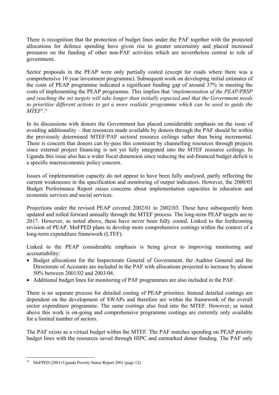There is recognition that the protection of budget lines under the PAF together with the protected allocations for defence spending have given rise to greater uncertainty and placed increased pressures on the funding of other non-PAF activities which are nevertheless central to role of government.

Sector proposals in the PEAP were only partially costed (except for roads where there was a comprehensive 10 year investment programme). Subsequent work on developing initial estimates of the costs of PEAP programme indicated a significant funding gap of around 37% in meeting the costs of implementing the PEAP programme. This implies that '*implementation of the PEAP/PRSP and reaching the set targets will take longer than initially expected and that the Government needs to prioritise different actions to get a more realistic programme which can be used to guide the MTEF*'.13

In its discussions with donors the Government has placed considerable emphasis on the issue of avoiding additionality – that resources made available by donors through the PAF should be within the previously determined MTEF/PAF sectoral resource ceilings rather than being incremental. There is concern that donors can by-pass this constraint by channelling resources through projects since external project financing is not yet fully integrated into the MTEF resource ceilings. In Uganda this issue also has a wider fiscal dimension since reducing the aid-financed budget deficit is a specific macroeconomic policy concern.

Issues of implementation capacity do not appear to have been fully analysed, partly reflecting the current weaknesses in the specification and monitoring of output indicators. However, the 2000/01 Budget Performance Report raises concerns about implementation capacities in education and economic services and social services.

Projections under the revised PEAP covered 2002/01 to 2002/03. These have subsequently been updated and rolled forward annually through the MTEF process. The long-term PEAP targets are to 2017. However, as noted above, these have never been fully costed. Linked to the forthcoming revision of PEAP, MoFPED plans to develop more comprehensive costings within the context of a long-term expenditure framework (LTEF).

Linked to the PEAP considerable emphasis is being given to improving monitoring and accountability:

- Budget allocations for the Inspectorate General of Government, the Auditor General and the Directorate of Accounts are included in the PAF with allocations projected to increase by almost 50% between 2001/02 and 2003/04.
- Additional budget lines for monitoring of PAF programmes are also included in the PAF.

There is no separate process for detailed costing of PEAP priorities. Instead detailed costings are dependent on the development of SWAPs and therefore are within the framework of the overall sector expenditure programme. The same costings also feed into the MTEF. However, as noted above this work is on-going and comprehensive programme costings are currently only available for a limited number of sectors.

The PAF exists as a virtual budget within the MTEF. The PAF matches spending on PEAP priority budget lines with the resources saved through HIPC and earmarked donor funding. The PAF only

 $\overline{a}$ <sup>13</sup> MoFPED (2001) Uganda Poverty Status Report 2001 (page 12).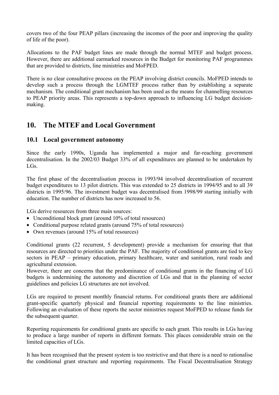covers two of the four PEAP pillars (increasing the incomes of the poor and improving the quality of life of the poor).

Allocations to the PAF budget lines are made through the normal MTEF and budget process. However, there are additional earmarked resources in the Budget for monitoring PAF programmes that are provided to districts, line ministries and MoFPED.

There is no clear consultative process on the PEAP involving district councils. MoFPED intends to develop such a process through the LGMTEF process rather than by establishing a separate mechanism. The conditional grant mechanism has been used as the means for channelling resources to PEAP priority areas. This represents a top-down approach to influencing LG budget decisionmaking.

## **10. The MTEF and Local Government**

#### **10.1 Local government autonomy**

Since the early 1990s, Uganda has implemented a major and far-reaching government decentralisation. In the 2002/03 Budget 33% of all expenditures are planned to be undertaken by LGs.

The first phase of the decentralisation process in 1993/94 involved decentralisation of recurrent budget expenditures to 13 pilot districts. This was extended to 25 districts in 1994/95 and to all 39 districts in 1995/96. The investment budget was decentralised from 1998/99 starting initially with education. The number of districts has now increased to 56.

LGs derive resources from three main sources:

- Unconditional block grant (around 10% of total resources)
- Conditional purpose related grants (around 75% of total resources)
- Own revenues (around 15% of total resources)

Conditional grants (22 recurrent, 5 development) provide a mechanism for ensuring that that resources are directed to priorities under the PAF. The majority of conditional grants are tied to key sectors in PEAP – primary education, primary healthcare, water and sanitation, rural roads and agricultural extension.

However, there are concerns that the predominance of conditional grants in the financing of LG budgets is undermining the autonomy and discretion of LGs and that in the planning of sector guidelines and policies LG structures are not involved.

LGs are required to present monthly financial returns. For conditional grants there are additional grant-specific quarterly physical and financial reporting requirements to the line ministries. Following an evaluation of these reports the sector ministries request MoFPED to release funds for the subsequent quarter.

Reporting requirements for conditional grants are specific to each grant. This results in LGs having to produce a large number of reports in different formats. This places considerable strain on the limited capacities of LGs.

It has been recognised that the present system is too restrictive and that there is a need to rationalise the conditional grant structure and reporting requirements. The Fiscal Decentralisation Strategy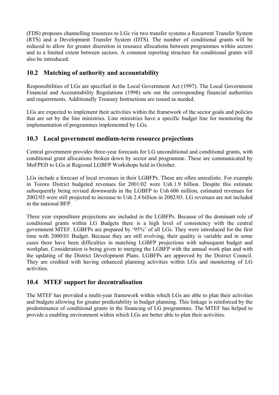(FDS) proposes channelling resources to LGs via two transfer systems a Recurrent Transfer System (RTS) and a Development Transfer System (DTS). The number of conditional grants will be reduced to allow for greater discretion in resource allocations between programmes within sectors and to a limited extent between sectors. A common reporting structure for conditional grants will also be introduced.

## **10.2 Matching of authority and accountability**

Responsibilities of LGs are specified in the Local Government Act (1997). The Local Government Financial and Accountability Regulations (1998) sets out the corresponding financial authorities and requirements. Additionally Treasury Instructions are issued as needed.

LGs are expected to implement their activities within the framework of the sector goals and policies that are set by the line ministries. Line ministries have a specific budget line for monitoring the implementation of programmes implemented by LGs.

#### **10.3 Local government medium-term resource projections**

Central government provides three-year forecasts for LG unconditional and conditional grants, with conditional grant allocations broken down by sector and programme. These are communicated by MoFPED to LGs at Regional LGBFP Workshops held in October.

LGs include a forecast of local revenues in their LGBFPs. These are often unrealistic. For example in Tororo District budgeted revenues for 2001/02 were Ush 1.9 billion. Despite this estimate subsequently being revised downwards in the LGBFP to Ush 606 million, estimated revenues for 2002/03 were still projected to increase to Ush 2.4 billion in 2002/03. LG revenues are not included in the national BFP.

Three year expenditure projections are included in the LGBFPs. Because of the dominant role of conditional grants within LG Budgets there is a high level of consistency with the central government MTEF. LGBFPs are prepared by '95%' of all LGs. They were introduced for the first time with 2000/01 Budget. Because they are still evolving, their quality is variable and in some cases there have been difficulties in matching LGBFP projections with subsequent budget and workplan. Consideration is being given to merging the LGBFP with the annual work plan and with the updating of the District Development Plans. LGBFPs are approved by the District Council. They are credited with having enhanced planning activities within LGs and monitoring of LG activities.

## **10.4 MTEF support for decentralisation**

The MTEF has provided a multi-year framework within which LGs are able to plan their activities and budgets allowing for greater predictability in budget planning. This linkage is reinforced by the predominance of conditional grants in the financing of LG programmes. The MTEF has helped to provide a enabling environment within which LGs are better able to plan their activities.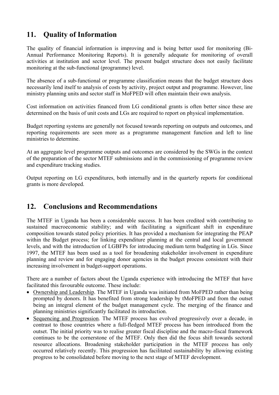# **11. Quality of Information**

The quality of financial information is improving and is being better used for monitoring (Bi-Annual Performance Monitoring Reports). It is generally adequate for monitoring of overall activities at institution and sector level. The present budget structure does not easily facilitate monitoring at the sub-functional (programme) level.

The absence of a sub-functional or programme classification means that the budget structure does necessarily lend itself to analysis of costs by activity, project output and programme. However, line ministry planning units and sector staff in MoFPED will often maintain their own analysis.

Cost information on activities financed from LG conditional grants is often better since these are determined on the basis of unit costs and LGs are required to report on physical implementation.

Budget reporting systems are generally not focused towards reporting on outputs and outcomes, and reporting requirements are seen more as a programme management function and left to line ministries to determine.

At an aggregate level programme outputs and outcomes are considered by the SWGs in the context of the preparation of the sector MTEF submissions and in the commissioning of programme review and expenditure tracking studies.

Output reporting on LG expenditures, both internally and in the quarterly reports for conditional grants is more developed.

## **12. Conclusions and Recommendations**

The MTEF in Uganda has been a considerable success. It has been credited with contributing to sustained macroeconomic stability; and with facilitating a significant shift in expenditure composition towards stated policy priorities. It has provided a mechanism for integrating the PEAP within the Budget process; for linking expenditure planning at the central and local government levels, and with the introduction of LGBFPs for introducing medium term budgeting in LGs. Since 1997, the MTEF has been used as a tool for broadening stakeholder involvement in expenditure planning and review and for engaging donor agencies in the budget process consistent with their increasing involvement in budget-support operations.

There are a number of factors about the Uganda experience with introducing the MTEF that have facilitated this favourable outcome. These include:

- Ownership and Leadership. The MTEF in Uganda was initiated from MoFPED rather than being prompted by donors. It has benefited from strong leadership by tMoFPED and from the outset being an integral element of the budget management cycle. The merging of the finance and planning ministries significantly facilitated its introduction.
- Sequencing and Progression. The MTEF process has evolved progressively over a decade, in contrast to those countries where a full-fledged MTEF process has been introduced from the outset. The initial priority was to realise greater fiscal discipline and the macro-fiscal framework continues to be the cornerstone of the MTEF. Only then did the focus shift towards sectoral resource allocations. Broadening stakeholder participation in the MTEF process has only occurred relatively recently. This progression has facilitated sustainability by allowing existing progress to be consolidated before moving to the next stage of MTEF development.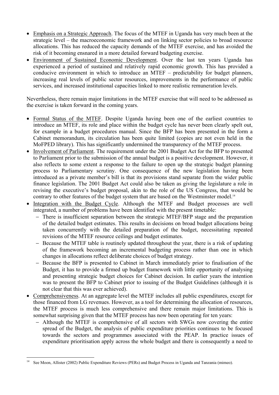- Emphasis on a Strategic Approach. The focus of the MTEF in Uganda has very much been at the strategic level – the macroeconomic framework and on linking sector policies to broad resource allocations. This has reduced the capacity demands of the MTEF exercise, and has avoided the risk of it becoming ensnared in a more detailed forward budgeting exercise.
- Environment of Sustained Economic Development. Over the last ten years Uganda has experienced a period of sustained and relatively rapid economic growth. This has provided a conducive environment in which to introduce an MTEF – predictability for budget planners, increasing real levels of public sector resources, improvements in the performance of public services, and increased institutional capacities linked to more realistic remuneration levels.

Nevertheless, there remain major limitations in the MTEF exercise that will need to be addressed as the exercise is taken forward in the coming years.

- Formal Status of the MTEF. Despite Uganda having been one of the earliest countries to introduce an MTEF, its role and place within the budget cycle has never been clearly spelt out, for example in a budget procedures manual. Since the BFP has been presented in the form a Cabinet memorandum, its circulation has been quite limited (copies are not even held in the MoFPED library). This has significantly undermined the transparency of the MTEF process.
- Involvement of Parliament. The requirement under the 2001 Budget Act for the BFP to presented to Parliament prior to the submission of the annual budget is a positive development. However, it also reflects to some extent a response to the failure to open up the strategic budget planning process to Parliamentary scrutiny. One consequence of the new legislation having been introduced as a private member's bill is that its provisions stand separate from the wider public finance legislation. The 2001 Budget Act could also be taken as giving the legislature a role in revising the executive's budget proposal, akin to the role of the US Congress, that would be contrary to other features of the budget system that are based on the Westminster model.<sup>14</sup>
- Integration with the Budget Cycle. Although the MTEF and Budget processes are well integrated, a number of problems have been identified with the present timetable:
	- − There is insufficient separation between the strategic MTEF/BFP stage and the preparation of the detailed budget estimates. This results in decisions on broad budget allocations being taken concurrently with the detailed preparation of the budget, necessitating repeated revisions of the MTEF resource ceilings and budget estimates.
	- − Because the MTEF table is routinely updated throughout the year, there is a risk of updating of the framework becoming an incremental budgeting process rather than one in which changes in allocations reflect deliberate choices of budget strategy.
	- − Because the BFP is presented to Cabinet in March immediately prior to finalisation of the Budget, it has to provide a firmed up budget framework with little opportunity of analysing and presenting strategic budget choices for Cabinet decision. In earlier years the intention was to present the BFP to Cabinet prior to issuing of the Budget Guidelines (although it is not clear that this was ever achieved).
- Comprehensiveness. At an aggregate level the MTEF includes all public expenditures, except for those financed from LG revenues. However, as a tool for determining the allocation of resources, the MTEF process is much less comprehensive and there remain major limitations. This is somewhat surprising given that the MTEF process has now been operating for ten years:
	- − Although the MTEF is comprehensive of all sectors with SWGs now covering the entire spread of the Budget, the analysis of public expenditure priorities continues to be focused towards the sectors and programmes associated with the PEAP. In practice issues of expenditure prioritisation apply across the whole budget and there is consequently a need to

 $14$ See Moon, Allister (2002) Public Expenditure Reviews (PERs) and Budget Process in Uganda and Tanzania (mimeo).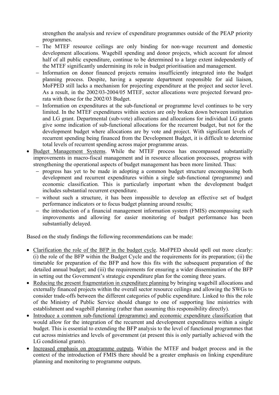strengthen the analysis and review of expenditure programmes outside of the PEAP priority programmes.

- − The MTEF resource ceilings are only binding for non-wage recurrent and domestic development allocations. Wagebill spending and donor projects, which account for almost half of all public expenditure, continue to be determined to a large extent independently of the MTEF significantly undermining its role in budget prioritisation and management.
- − Information on donor financed projects remains insufficiently integrated into the budget planning process. Despite, having a separate department responsible for aid liaison, MoFPED still lacks a mechanism for projecting expenditure at the project and sector level. As a result, in the 2002/03-2004/05 MTEF, sector allocations were projected forward prorata with those for the 2002/03 Budget.
- − Information on expenditures at the sub-functional or programme level continues to be very limited. In the MTEF expenditures within sectors are only broken down between institution and LG grant. Departmental (sub-vote) allocations and allocations for individual LG grants give some indication of sub-functional allocations for the recurrent budget, but not for the development budget where allocations are by vote and project. With significant levels of recurrent spending being financed from the Development Budget, it is difficult to determine total levels of recurrent spending across major programme areas.
- Budget Management Systems. While the MTEF process has encompassed substantially improvements in macro-fiscal management and in resource allocation processes, progress with strengthening the operational aspects of budget management has been more limited. Thus:
	- − progress has yet to be made in adopting a common budget structure encompassing both development and recurrent expenditures within a single sub-functional (programme) and economic classification. This is particularly important when the development budget includes substantial recurrent expenditure.
	- − without such a structure, it has been impossible to develop an effective set of budget performance indicators or to focus budget planning around results;
	- − the introduction of a financial management information system (FMIS) encompassing such improvements and allowing for easier monitoring of budget performance has been substantially delayed.

Based on the study findings the following recommendations can be made:

- Clarification the role of the BFP in the budget cycle. MoFPED should spell out more clearly: (i) the role of the BFP within the Budget Cycle and the requirements for its preparation; (ii) the timetable for preparation of the BFP and how this fits with the subsequent preparation of the detailed annual budget; and (iii) the requirements for ensuring a wider dissemination of the BFP in setting out the Government's strategic expenditure plan for the coming three years.
- Reducing the present fragmentation in expenditure planning by bringing wagebill allocations and externally financed projects within the overall sector resource ceilings and allowing the SWGs to consider trade-offs between the different categories of public expenditure. Linked to this the role of the Ministry of Public Service should change to one of supporting line ministries with establishment and wagebill planning (rather than assuming this responsibility directly).
- Introduce a common sub-functional (programme) and economic expenditure classification that would allow for the integration of the recurrent and development expenditures within a single budget. This is essential to extending the BFP analysis to the level of functional programmes that cut across ministries and levels of government (at present this is only partially achieved with the LG conditional grants).
- Increased emphasis on programme outputs. Within the MTEF and budget process and in the context of the introduction of FMIS there should be a greater emphasis on linking expenditure planning and monitoring to programme outputs.